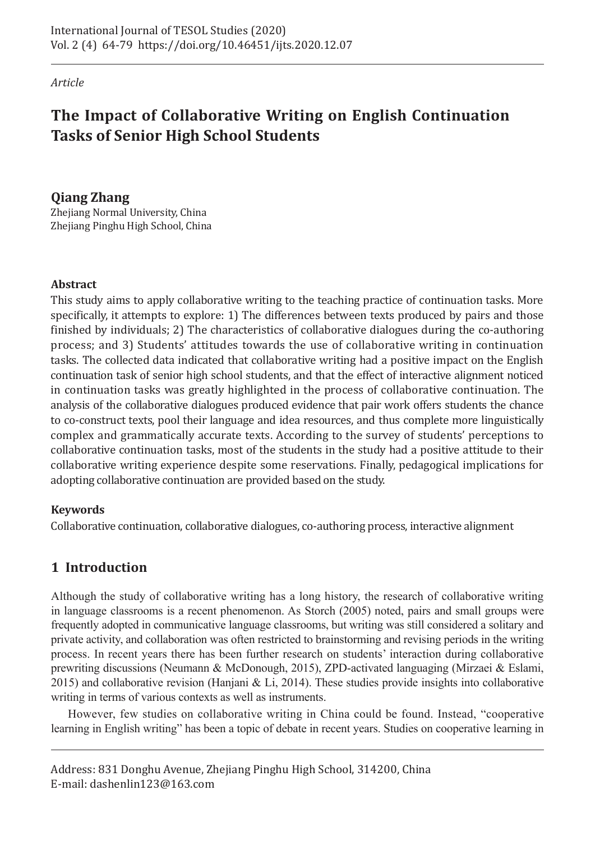*Article*

# **The Impact of Collaborative Writing on English Continuation Tasks of Senior High School Students**

# **Qiang Zhang**

Zhejiang Normal University, China Zhejiang Pinghu High School, China

# **Abstract**

This study aims to apply collaborative writing to the teaching practice of continuation tasks. More specifically, it attempts to explore: 1) The differences between texts produced by pairs and those finished by individuals; 2) The characteristics of collaborative dialogues during the co-authoring process; and 3) Students' attitudes towards the use of collaborative writing in continuation tasks. The collected data indicated that collaborative writing had a positive impact on the English continuation task of senior high school students, and that the effect of interactive alignment noticed in continuation tasks was greatly highlighted in the process of collaborative continuation. The analysis of the collaborative dialogues produced evidence that pair work offers students the chance to co-construct texts, pool their language and idea resources, and thus complete more linguistically complex and grammatically accurate texts. According to the survey of students' perceptions to collaborative continuation tasks, most of the students in the study had a positive attitude to their collaborative writing experience despite some reservations. Finally, pedagogical implications for adopting collaborative continuation are provided based on the study.

## **Keywords**

Collaborative continuation, collaborative dialogues, co-authoring process, interactive alignment

# **1 Introduction**

Although the study of collaborative writing has a long history, the research of collaborative writing in language classrooms is a recent phenomenon. As Storch (2005) noted, pairs and small groups were frequently adopted in communicative language classrooms, but writing was still considered a solitary and private activity, and collaboration was often restricted to brainstorming and revising periods in the writing process. In recent years there has been further research on students' interaction during collaborative prewriting discussions (Neumann & McDonough, 2015), ZPD-activated languaging (Mirzaei & Eslami, 2015) and collaborative revision (Hanjani & Li, 2014). These studies provide insights into collaborative writing in terms of various contexts as well as instruments.

However, few studies on collaborative writing in China could be found. Instead, "cooperative learning in English writing" has been a topic of debate in recent years. Studies on cooperative learning in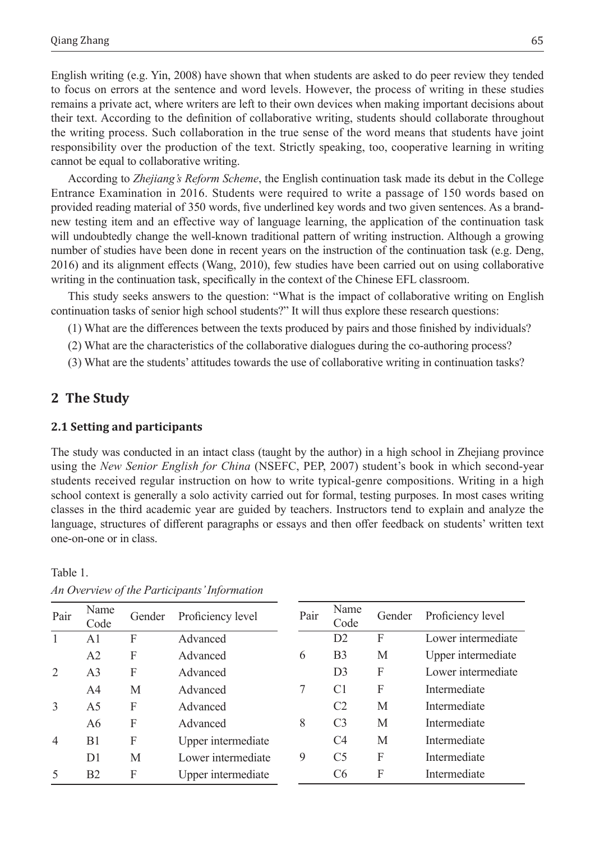English writing (e.g. Yin, 2008) have shown that when students are asked to do peer review they tended to focus on errors at the sentence and word levels. However, the process of writing in these studies remains a private act, where writers are left to their own devices when making important decisions about their text. According to the definition of collaborative writing, students should collaborate throughout the writing process. Such collaboration in the true sense of the word means that students have joint responsibility over the production of the text. Strictly speaking, too, cooperative learning in writing cannot be equal to collaborative writing.

According to *Zhejiang's Reform Scheme*, the English continuation task made its debut in the College Entrance Examination in 2016. Students were required to write a passage of 150 words based on provided reading material of 350 words, five underlined key words and two given sentences. As a brandnew testing item and an effective way of language learning, the application of the continuation task will undoubtedly change the well-known traditional pattern of writing instruction. Although a growing number of studies have been done in recent years on the instruction of the continuation task (e.g. Deng, 2016) and its alignment effects (Wang, 2010), few studies have been carried out on using collaborative writing in the continuation task, specifically in the context of the Chinese EFL classroom.

This study seeks answers to the question: "What is the impact of collaborative writing on English continuation tasks of senior high school students?" It will thus explore these research questions:

(1) What are the differences between the texts produced by pairs and those finished by individuals?

- (2) What are the characteristics of the collaborative dialogues during the co-authoring process?
- (3) What are the students' attitudes towards the use of collaborative writing in continuation tasks?

## **2 The Study**

Table 1.

#### **2.1 Setting and participants**

The study was conducted in an intact class (taught by the author) in a high school in Zhejiang province using the *New Senior English for China* (NSEFC, PEP, 2007) student's book in which second-year students received regular instruction on how to write typical-genre compositions. Writing in a high school context is generally a solo activity carried out for formal, testing purposes. In most cases writing classes in the third academic year are guided by teachers. Instructors tend to explain and analyze the language, structures of different paragraphs or essays and then offer feedback on students' written text one-on-one or in class.

| Pair           | Name<br>Code   | Gender | Proficiency level  | Pair | Name<br>Code   | Gender       | Proficiency level  |
|----------------|----------------|--------|--------------------|------|----------------|--------------|--------------------|
| 1              | A <sub>1</sub> | F      | Advanced           |      | D2             | $\mathbf{F}$ | Lower intermediate |
|                | A2             | F      | Advanced           | 6    | B <sub>3</sub> | M            | Upper intermediate |
| 2              | A <sub>3</sub> | F      | Advanced           |      | D <sub>3</sub> | F            | Lower intermediate |
|                | A <sup>4</sup> | M      | Advanced           | 7    | C <sub>1</sub> | F            | Intermediate       |
| 3              | A <sub>5</sub> | F      | Advanced           |      | C <sub>2</sub> | M            | Intermediate       |
|                | A6             | F      | Advanced           | 8    | C <sub>3</sub> | M            | Intermediate       |
| $\overline{4}$ | B <sub>1</sub> | F      | Upper intermediate |      | C4             | M            | Intermediate       |
|                | D <sub>1</sub> | M      | Lower intermediate | 9    | C <sub>5</sub> | F            | Intermediate       |
|                | B <sub>2</sub> | F      | Upper intermediate |      | C6             | F            | Intermediate       |

*An Overview of the Participants' Information*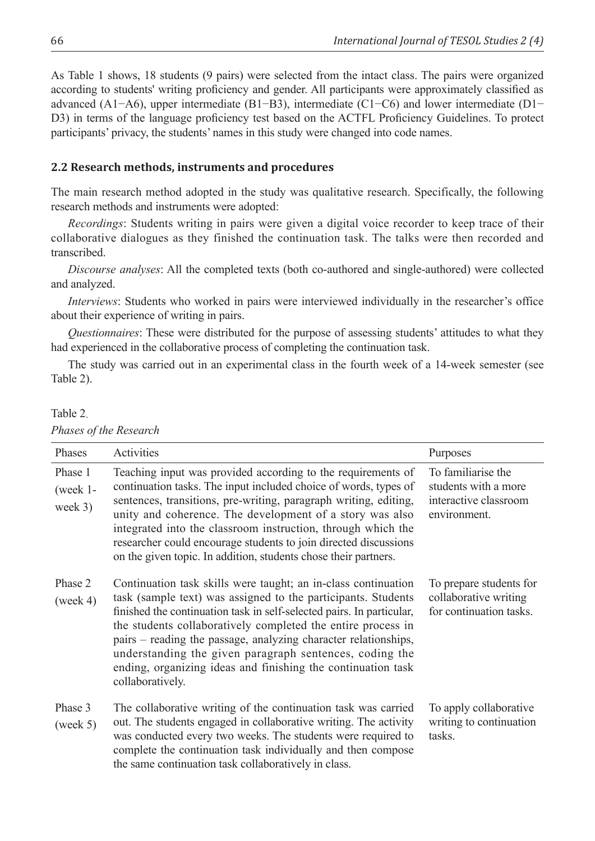As Table 1 shows, 18 students (9 pairs) were selected from the intact class. The pairs were organized according to students' writing proficiency and gender. All participants were approximately classified as advanced (A1−A6), upper intermediate (B1−B3), intermediate (C1−C6) and lower intermediate (D1− D3) in terms of the language proficiency test based on the ACTFL Proficiency Guidelines. To protect participants' privacy, the students' names in this study were changed into code names.

#### **2.2 Research methods, instruments and procedures**

The main research method adopted in the study was qualitative research. Specifically, the following research methods and instruments were adopted:

*Recordings*: Students writing in pairs were given a digital voice recorder to keep trace of their collaborative dialogues as they finished the continuation task. The talks were then recorded and transcribed.

*Discourse analyses*: All the completed texts (both co-authored and single-authored) were collected and analyzed.

*Interviews*: Students who worked in pairs were interviewed individually in the researcher's office about their experience of writing in pairs.

*Questionnaires*: These were distributed for the purpose of assessing students' attitudes to what they had experienced in the collaborative process of completing the continuation task.

The study was carried out in an experimental class in the fourth week of a 14-week semester (see Table 2).

Table 2.

| Phases                              | Activities                                                                                                                                                                                                                                                                                                                                                                                                                                                                                 | Purposes                                                                            |
|-------------------------------------|--------------------------------------------------------------------------------------------------------------------------------------------------------------------------------------------------------------------------------------------------------------------------------------------------------------------------------------------------------------------------------------------------------------------------------------------------------------------------------------------|-------------------------------------------------------------------------------------|
| Phase 1<br>$(week 1 -$<br>week $3)$ | Teaching input was provided according to the requirements of<br>continuation tasks. The input included choice of words, types of<br>sentences, transitions, pre-writing, paragraph writing, editing,<br>unity and coherence. The development of a story was also<br>integrated into the classroom instruction, through which the<br>researcher could encourage students to join directed discussions<br>on the given topic. In addition, students chose their partners.                    | To familiarise the<br>students with a more<br>interactive classroom<br>environment. |
| Phase 2<br>(week 4)                 | Continuation task skills were taught; an in-class continuation<br>task (sample text) was assigned to the participants. Students<br>finished the continuation task in self-selected pairs. In particular,<br>the students collaboratively completed the entire process in<br>pairs – reading the passage, analyzing character relationships,<br>understanding the given paragraph sentences, coding the<br>ending, organizing ideas and finishing the continuation task<br>collaboratively. | To prepare students for<br>collaborative writing<br>for continuation tasks.         |
| Phase 3<br>(week 5)                 | The collaborative writing of the continuation task was carried<br>out. The students engaged in collaborative writing. The activity<br>was conducted every two weeks. The students were required to<br>complete the continuation task individually and then compose<br>the same continuation task collaboratively in class.                                                                                                                                                                 | To apply collaborative<br>writing to continuation<br>tasks.                         |

#### *Phases of the Research*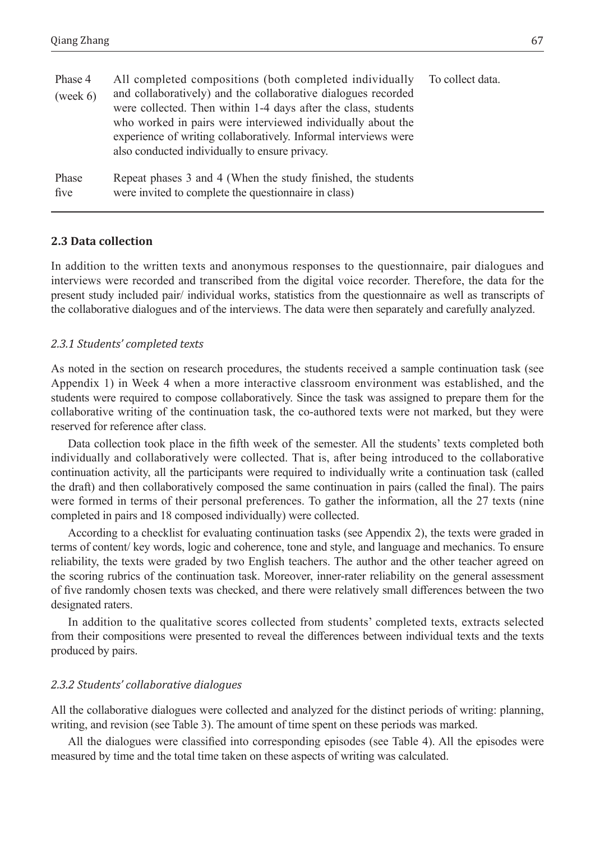| Phase 4<br>(week 6) | All completed compositions (both completed individually<br>and collaboratively) and the collaborative dialogues recorded<br>were collected. Then within 1-4 days after the class, students<br>who worked in pairs were interviewed individually about the<br>experience of writing collaboratively. Informal interviews were<br>also conducted individually to ensure privacy. | To collect data. |
|---------------------|--------------------------------------------------------------------------------------------------------------------------------------------------------------------------------------------------------------------------------------------------------------------------------------------------------------------------------------------------------------------------------|------------------|
| Phase<br>five       | Repeat phases 3 and 4 (When the study finished, the students<br>were invited to complete the questionnaire in class)                                                                                                                                                                                                                                                           |                  |

#### **2.3 Data collection**

In addition to the written texts and anonymous responses to the questionnaire, pair dialogues and interviews were recorded and transcribed from the digital voice recorder. Therefore, the data for the present study included pair/ individual works, statistics from the questionnaire as well as transcripts of the collaborative dialogues and of the interviews. The data were then separately and carefully analyzed.

#### *2.3.1 Students' completed texts*

As noted in the section on research procedures, the students received a sample continuation task (see Appendix 1) in Week 4 when a more interactive classroom environment was established, and the students were required to compose collaboratively. Since the task was assigned to prepare them for the collaborative writing of the continuation task, the co-authored texts were not marked, but they were reserved for reference after class.

Data collection took place in the fifth week of the semester. All the students' texts completed both individually and collaboratively were collected. That is, after being introduced to the collaborative continuation activity, all the participants were required to individually write a continuation task (called the draft) and then collaboratively composed the same continuation in pairs (called the final). The pairs were formed in terms of their personal preferences. To gather the information, all the 27 texts (nine completed in pairs and 18 composed individually) were collected.

According to a checklist for evaluating continuation tasks (see Appendix 2), the texts were graded in terms of content/ key words, logic and coherence, tone and style, and language and mechanics. To ensure reliability, the texts were graded by two English teachers. The author and the other teacher agreed on the scoring rubrics of the continuation task. Moreover, inner-rater reliability on the general assessment of five randomly chosen texts was checked, and there were relatively small differences between the two designated raters.

In addition to the qualitative scores collected from students' completed texts, extracts selected from their compositions were presented to reveal the differences between individual texts and the texts produced by pairs.

#### *2.3.2 Students' collaborative dialogues*

All the collaborative dialogues were collected and analyzed for the distinct periods of writing: planning, writing, and revision (see Table 3). The amount of time spent on these periods was marked.

All the dialogues were classified into corresponding episodes (see Table 4). All the episodes were measured by time and the total time taken on these aspects of writing was calculated.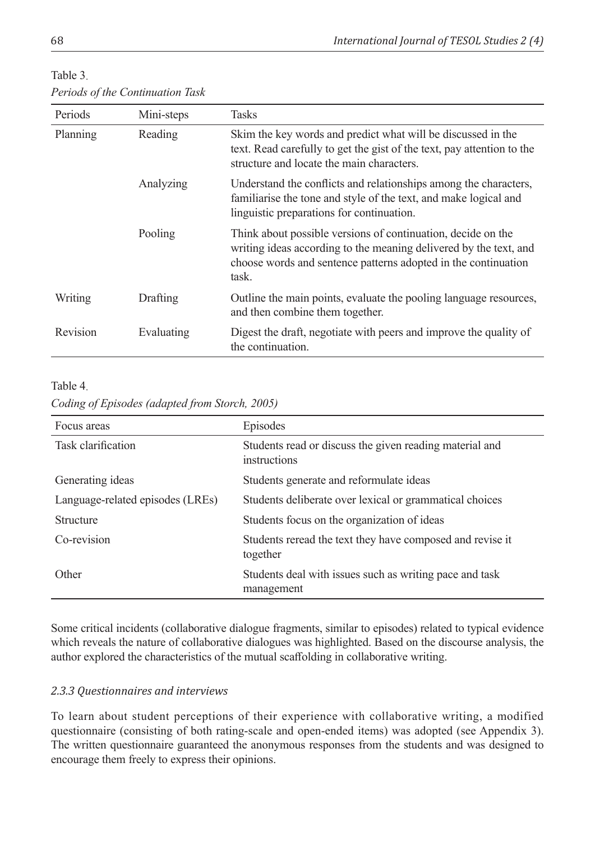| Table 3                          |  |
|----------------------------------|--|
| Periods of the Continuation Task |  |

| Periods  | Mini-steps | <b>Tasks</b>                                                                                                                                                                                                 |
|----------|------------|--------------------------------------------------------------------------------------------------------------------------------------------------------------------------------------------------------------|
| Planning | Reading    | Skim the key words and predict what will be discussed in the<br>text. Read carefully to get the gist of the text, pay attention to the<br>structure and locate the main characters.                          |
|          | Analyzing  | Understand the conflicts and relationships among the characters,<br>familiarise the tone and style of the text, and make logical and<br>linguistic preparations for continuation.                            |
|          | Pooling    | Think about possible versions of continuation, decide on the<br>writing ideas according to the meaning delivered by the text, and<br>choose words and sentence patterns adopted in the continuation<br>task. |
| Writing  | Drafting   | Outline the main points, evaluate the pooling language resources,<br>and then combine them together.                                                                                                         |
| Revision | Evaluating | Digest the draft, negotiate with peers and improve the quality of<br>the continuation.                                                                                                                       |

### Table 4.

*Coding of Episodes (adapted from Storch, 2005)*

| Focus areas                      | Episodes                                                                |
|----------------------------------|-------------------------------------------------------------------------|
| Task clarification               | Students read or discuss the given reading material and<br>instructions |
| Generating ideas                 | Students generate and reformulate ideas                                 |
| Language-related episodes (LREs) | Students deliberate over lexical or grammatical choices                 |
| <b>Structure</b>                 | Students focus on the organization of ideas                             |
| Co-revision                      | Students reread the text they have composed and revise it<br>together   |
| Other                            | Students deal with issues such as writing pace and task<br>management   |

Some critical incidents (collaborative dialogue fragments, similar to episodes) related to typical evidence which reveals the nature of collaborative dialogues was highlighted. Based on the discourse analysis, the author explored the characteristics of the mutual scaffolding in collaborative writing.

## *2.3.3 Questionnaires and interviews*

To learn about student perceptions of their experience with collaborative writing, a modified questionnaire (consisting of both rating-scale and open-ended items) was adopted (see Appendix 3). The written questionnaire guaranteed the anonymous responses from the students and was designed to encourage them freely to express their opinions.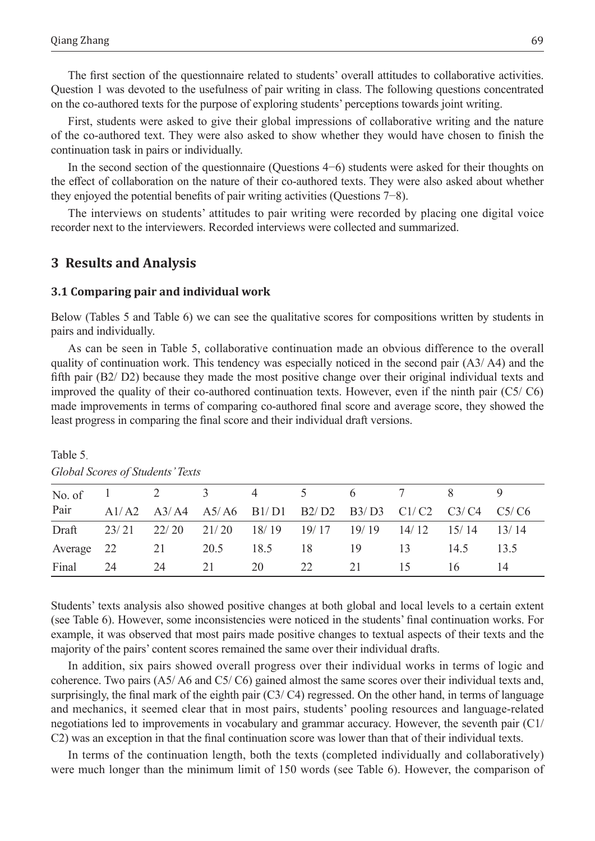The first section of the questionnaire related to students' overall attitudes to collaborative activities. Question 1 was devoted to the usefulness of pair writing in class. The following questions concentrated on the co-authored texts for the purpose of exploring students' perceptions towards joint writing.

First, students were asked to give their global impressions of collaborative writing and the nature of the co-authored text. They were also asked to show whether they would have chosen to finish the continuation task in pairs or individually.

In the second section of the questionnaire (Questions 4−6) students were asked for their thoughts on the effect of collaboration on the nature of their co-authored texts. They were also asked about whether they enjoyed the potential benefits of pair writing activities (Questions 7−8).

The interviews on students' attitudes to pair writing were recorded by placing one digital voice recorder next to the interviewers. Recorded interviews were collected and summarized.

### **3 Results and Analysis**

#### **3.1 Comparing pair and individual work**

Below (Tables 5 and Table 6) we can see the qualitative scores for compositions written by students in pairs and individually.

As can be seen in Table 5, collaborative continuation made an obvious difference to the overall quality of continuation work. This tendency was especially noticed in the second pair (A3/ A4) and the fifth pair (B2/ D2) because they made the most positive change over their original individual texts and improved the quality of their co-authored continuation texts. However, even if the ninth pair (C5/ C6) made improvements in terms of comparing co-authored final score and average score, they showed the least progress in comparing the final score and their individual draft versions.

| No. of 1 2 3 4 5 6 7 8                                      |      |    |    |      |                                                       |      |           |      |      |
|-------------------------------------------------------------|------|----|----|------|-------------------------------------------------------|------|-----------|------|------|
| Pair                                                        |      |    |    |      | A1/A2 A3/A4 A5/A6 B1/D1 B2/D2 B3/D3 C1/C2 C3/C4 C5/C6 |      |           |      |      |
| Draft 23/21 22/20 21/20 18/19 19/17 19/19 14/12 15/14 13/14 |      |    |    |      |                                                       |      |           |      |      |
| Average 22 21 20.5                                          |      |    |    | 18.5 | 18                                                    | - 19 | $\sim$ 13 | 14.5 | 13.5 |
| Final                                                       | - 24 | 24 | 21 | 20   | 22                                                    | 21   | 15        | 16   | 14   |

Table 5.

*Global Scores of Students' Texts*

Students' texts analysis also showed positive changes at both global and local levels to a certain extent (see Table 6). However, some inconsistencies were noticed in the students' final continuation works. For example, it was observed that most pairs made positive changes to textual aspects of their texts and the majority of the pairs' content scores remained the same over their individual drafts.

In addition, six pairs showed overall progress over their individual works in terms of logic and coherence. Two pairs (A5/ A6 and C5/ C6) gained almost the same scores over their individual texts and, surprisingly, the final mark of the eighth pair (C3/ C4) regressed. On the other hand, in terms of language and mechanics, it seemed clear that in most pairs, students' pooling resources and language-related negotiations led to improvements in vocabulary and grammar accuracy. However, the seventh pair (C1/ C2) was an exception in that the final continuation score was lower than that of their individual texts.

In terms of the continuation length, both the texts (completed individually and collaboratively) were much longer than the minimum limit of 150 words (see Table 6). However, the comparison of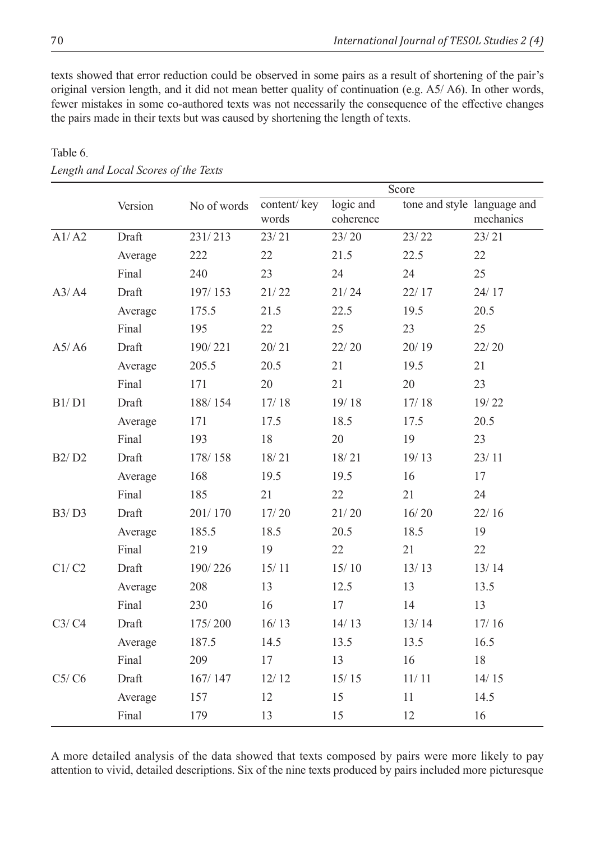texts showed that error reduction could be observed in some pairs as a result of shortening of the pair's original version length, and it did not mean better quality of continuation (e.g. A5/ A6). In other words, fewer mistakes in some co-authored texts was not necessarily the consequence of the effective changes the pairs made in their texts but was caused by shortening the length of texts.

|       |         |             | Score                |                        |         |                                          |
|-------|---------|-------------|----------------------|------------------------|---------|------------------------------------------|
|       | Version | No of words | content/key<br>words | logic and<br>coherence |         | tone and style language and<br>mechanics |
| A1/A2 | Draft   | 231/213     | 23/21                | 23/20                  | 23/22   | 23/21                                    |
|       | Average | 222         | 22                   | 21.5                   | 22.5    | 22                                       |
|       | Final   | 240         | 23                   | 24                     | 24      | 25                                       |
| A3/A4 | Draft   | 197/153     | 21/22                | 21/24                  | 22/17   | 24/17                                    |
|       | Average | 175.5       | 21.5                 | 22.5                   | 19.5    | 20.5                                     |
|       | Final   | 195         | 22                   | 25                     | 23      | 25                                       |
| A5/AG | Draft   | 190/221     | 20/21                | 22/20                  | 20/19   | 22/20                                    |
|       | Average | 205.5       | 20.5                 | 21                     | 19.5    | 21                                       |
|       | Final   | 171         | 20                   | 21                     | 20      | 23                                       |
| B1/D1 | Draft   | 188/154     | 17/18                | 19/18                  | 17/18   | 19/22                                    |
|       | Average | 171         | 17.5                 | 18.5                   | 17.5    | 20.5                                     |
|       | Final   | 193         | 18                   | 20                     | 19      | 23                                       |
| B2/D2 | Draft   | 178/158     | 18/21                | 18/21                  | 19/13   | 23/11                                    |
|       | Average | 168         | 19.5                 | 19.5                   | 16      | 17                                       |
|       | Final   | 185         | 21                   | 22                     | 21      | 24                                       |
| B3/D3 | Draft   | 201/170     | 17/20                | 21/20                  | 16/20   | 22/16                                    |
|       | Average | 185.5       | 18.5                 | 20.5                   | 18.5    | 19                                       |
|       | Final   | 219         | 19                   | 22                     | 21      | 22                                       |
| Cl/C2 | Draft   | 190/226     | 15/11                | 15/10                  | 13/13   | 13/14                                    |
|       | Average | 208         | 13                   | 12.5                   | 13      | 13.5                                     |
|       | Final   | 230         | 16                   | 17                     | 14      | 13                                       |
| C3/C4 | Draft   | 175/200     | 16/13                | 14/13                  | 13/14   | 17/16                                    |
|       | Average | 187.5       | 14.5                 | 13.5                   | 13.5    | 16.5                                     |
|       | Final   | 209         | 17                   | 13                     | 16      | 18                                       |
| C5/C6 | Draft   | 167/147     | 12/12                | 15/15                  | $11/11$ | 14/15                                    |
|       | Average | 157         | 12                   | 15                     | 11      | 14.5                                     |
|       | Final   | 179         | 13                   | 15                     | 12      | 16                                       |

# Table 6. *Length and Local Scores of the Texts*

A more detailed analysis of the data showed that texts composed by pairs were more likely to pay attention to vivid, detailed descriptions. Six of the nine texts produced by pairs included more picturesque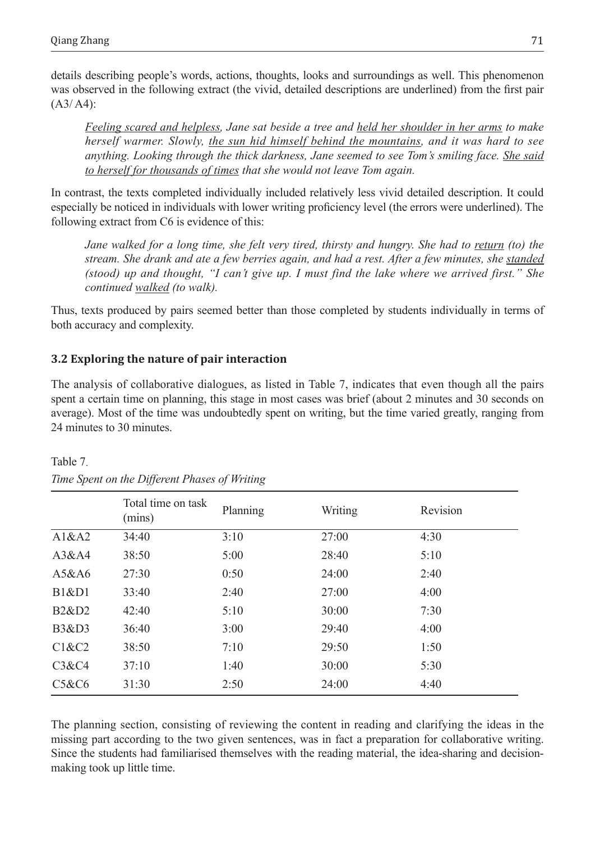details describing people's words, actions, thoughts, looks and surroundings as well. This phenomenon was observed in the following extract (the vivid, detailed descriptions are underlined) from the first pair  $(A3/ A4)$ :

*Feeling scared and helpless, Jane sat beside a tree and held her shoulder in her arms to make herself warmer. Slowly, the sun hid himself behind the mountains, and it was hard to see anything. Looking through the thick darkness, Jane seemed to see Tom's smiling face. She said to herself for thousands of times that she would not leave Tom again.* 

In contrast, the texts completed individually included relatively less vivid detailed description. It could especially be noticed in individuals with lower writing proficiency level (the errors were underlined). The following extract from C6 is evidence of this:

*Jane walked for a long time, she felt very tired, thirsty and hungry. She had to return (to) the stream. She drank and ate a few berries again, and had a rest. After a few minutes, she standed (stood) up and thought, "I can't give up. I must find the lake where we arrived first." She continued walked (to walk).*

Thus, texts produced by pairs seemed better than those completed by students individually in terms of both accuracy and complexity.

# **3.2 Exploring the nature of pair interaction**

The analysis of collaborative dialogues, as listed in Table 7, indicates that even though all the pairs spent a certain time on planning, this stage in most cases was brief (about 2 minutes and 30 seconds on average). Most of the time was undoubtedly spent on writing, but the time varied greatly, ranging from 24 minutes to 30 minutes.

|                  | Total time on task<br>(mins) | Planning | Writing | Revision |
|------------------|------------------------------|----------|---------|----------|
| A1&A2            | 34:40                        | 3:10     | 27:00   | 4:30     |
| A3&AA            | 38:50                        | 5:00     | 28:40   | 5:10     |
| A5&A6            | 27:30                        | 0:50     | 24:00   | 2:40     |
| <b>B1&amp;D1</b> | 33:40                        | 2:40     | 27:00   | 4:00     |
| <b>B2&amp;D2</b> | 42:40                        | 5:10     | 30:00   | 7:30     |
| <b>B3&amp;D3</b> | 36:40                        | 3:00     | 29:40   | 4:00     |
| C1&C2            | 38:50                        | 7:10     | 29:50   | 1:50     |
| C3&C4            | 37:10                        | 1:40     | 30:00   | 5:30     |
| C5&C6            | 31:30                        | 2:50     | 24:00   | 4:40     |

Table 7. *Time Spent on the Different Phases of Writing*

The planning section, consisting of reviewing the content in reading and clarifying the ideas in the missing part according to the two given sentences, was in fact a preparation for collaborative writing. Since the students had familiarised themselves with the reading material, the idea-sharing and decisionmaking took up little time.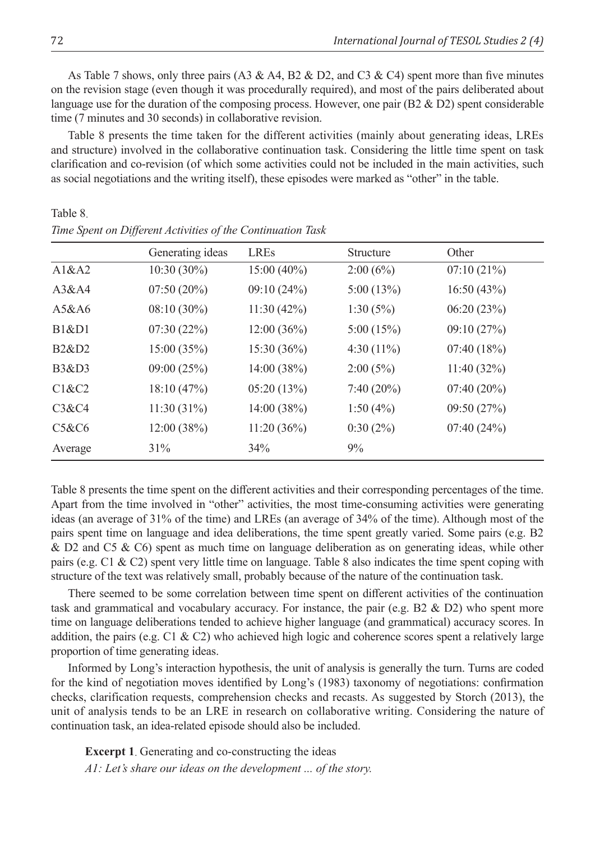As Table 7 shows, only three pairs (A3 & A4, B2 & D2, and C3 & C4) spent more than five minutes on the revision stage (even though it was procedurally required), and most of the pairs deliberated about language use for the duration of the composing process. However, one pair (B2 & D2) spent considerable time (7 minutes and 30 seconds) in collaborative revision.

Table 8 presents the time taken for the different activities (mainly about generating ideas, LREs and structure) involved in the collaborative continuation task. Considering the little time spent on task clarification and co-revision (of which some activities could not be included in the main activities, such as social negotiations and the writing itself), these episodes were marked as "other" in the table.

|                  | Generating ideas | <b>LREs</b>   | Structure     | Other         |
|------------------|------------------|---------------|---------------|---------------|
| A1&A2            | $10:30(30\%)$    | $15:00(40\%)$ | 2:00(6%)      | 07:10(21%)    |
| A3&AA            | $07:50(20\%)$    | 09:10(24%)    | 5:00(13%)     | 16:50(43%)    |
| A5&A6            | $08:10(30\%)$    | 11:30(42%)    | 1:30(5%)      | 06:20(23%)    |
| <b>B1&amp;D1</b> | 07:30(22%)       | 12:00(36%)    | 5:00(15%)     | 09:10(27%)    |
| <b>B2&amp;D2</b> | 15:00 (35%)      | 15:30(36%)    | 4:30 $(11\%)$ | 07:40(18%)    |
| <b>B3&amp;D3</b> | 09:00(25%)       | 14:00(38%)    | 2:00(5%)      | 11:40(32%)    |
| C1&C2            | 18:10 (47%)      | 05:20(13%)    | $7:40(20\%)$  | $07:40(20\%)$ |
| C3&C4            | 11:30(31%)       | 14:00 (38%)   | 1:50(4%)      | 09:50(27%)    |
| C5&C6            | 12:00 (38%)      | 11:20(36%)    | 0:30(2%)      | 07:40(24%)    |
| Average          | 31%              | 34%           | 9%            |               |

*Time Spent on Different Activities of the Continuation Task*

Table 8 presents the time spent on the different activities and their corresponding percentages of the time. Apart from the time involved in "other" activities, the most time-consuming activities were generating ideas (an average of 31% of the time) and LREs (an average of 34% of the time). Although most of the pairs spent time on language and idea deliberations, the time spent greatly varied. Some pairs (e.g. B2 & D2 and C5 & C6) spent as much time on language deliberation as on generating ideas, while other pairs (e.g. C1 & C2) spent very little time on language. Table 8 also indicates the time spent coping with structure of the text was relatively small, probably because of the nature of the continuation task.

There seemed to be some correlation between time spent on different activities of the continuation task and grammatical and vocabulary accuracy. For instance, the pair (e.g. B2 & D2) who spent more time on language deliberations tended to achieve higher language (and grammatical) accuracy scores. In addition, the pairs (e.g. C1 & C2) who achieved high logic and coherence scores spent a relatively large proportion of time generating ideas.

Informed by Long's interaction hypothesis, the unit of analysis is generally the turn. Turns are coded for the kind of negotiation moves identified by Long's (1983) taxonomy of negotiations: confirmation checks, clarification requests, comprehension checks and recasts. As suggested by Storch (2013), the unit of analysis tends to be an LRE in research on collaborative writing. Considering the nature of continuation task, an idea-related episode should also be included.

**Excerpt 1**. Generating and co-constructing the ideas *A1: Let's share our ideas on the development ... of the story.*

Table 8.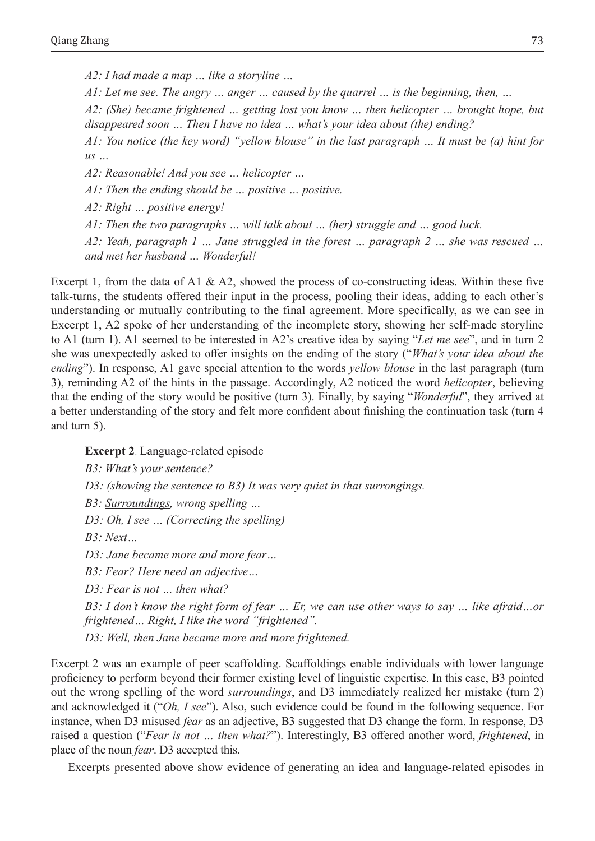*A2: I had made a map … like a storyline …*

*A1: Let me see. The angry … anger … caused by the quarrel … is the beginning, then, …*

*A2: (She) became frightened … getting lost you know … then helicopter … brought hope, but disappeared soon … Then I have no idea … what's your idea about (the) ending?*

*A1: You notice (the key word) "yellow blouse" in the last paragraph … It must be (a) hint for us …*

*A2: Reasonable! And you see … helicopter …*

*A1: Then the ending should be … positive … positive.*

*A2: Right … positive energy!* 

*A1: Then the two paragraphs … will talk about … (her) struggle and … good luck.*

*A2: Yeah, paragraph 1 … Jane struggled in the forest … paragraph 2 … she was rescued … and met her husband … Wonderful!*

Excerpt 1, from the data of A1 & A2, showed the process of co-constructing ideas. Within these five talk-turns, the students offered their input in the process, pooling their ideas, adding to each other's understanding or mutually contributing to the final agreement. More specifically, as we can see in Excerpt 1, A2 spoke of her understanding of the incomplete story, showing her self-made storyline to A1 (turn 1). A1 seemed to be interested in A2's creative idea by saying "*Let me see*", and in turn 2 she was unexpectedly asked to offer insights on the ending of the story ("*What's your idea about the ending*"). In response, A1 gave special attention to the words *yellow blouse* in the last paragraph (turn 3), reminding A2 of the hints in the passage. Accordingly, A2 noticed the word *helicopter*, believing that the ending of the story would be positive (turn 3). Finally, by saying "*Wonderful*", they arrived at a better understanding of the story and felt more confident about finishing the continuation task (turn 4 and turn 5).

**Excerpt 2**. Language-related episode

*B3: What's your sentence? D3: (showing the sentence to B3) It was very quiet in that surrongings. B3: Surroundings, wrong spelling … D3: Oh, I see … (Correcting the spelling) B3: Next… D3: Jane became more and more fear… B3: Fear? Here need an adjective… D3: Fear is not … then what? B3: I don't know the right form of fear … Er, we can use other ways to say … like afraid…or* 

*frightened… Right, I like the word "frightened". D3: Well, then Jane became more and more frightened.*

Excerpt 2 was an example of peer scaffolding. Scaffoldings enable individuals with lower language proficiency to perform beyond their former existing level of linguistic expertise. In this case, B3 pointed out the wrong spelling of the word *surroundings*, and D3 immediately realized her mistake (turn 2) and acknowledged it ("*Oh, I see*"). Also, such evidence could be found in the following sequence. For instance, when D3 misused *fear* as an adjective, B3 suggested that D3 change the form. In response, D3 raised a question ("*Fear is not … then what?*"). Interestingly, B3 offered another word, *frightened*, in place of the noun *fear*. D3 accepted this.

Excerpts presented above show evidence of generating an idea and language-related episodes in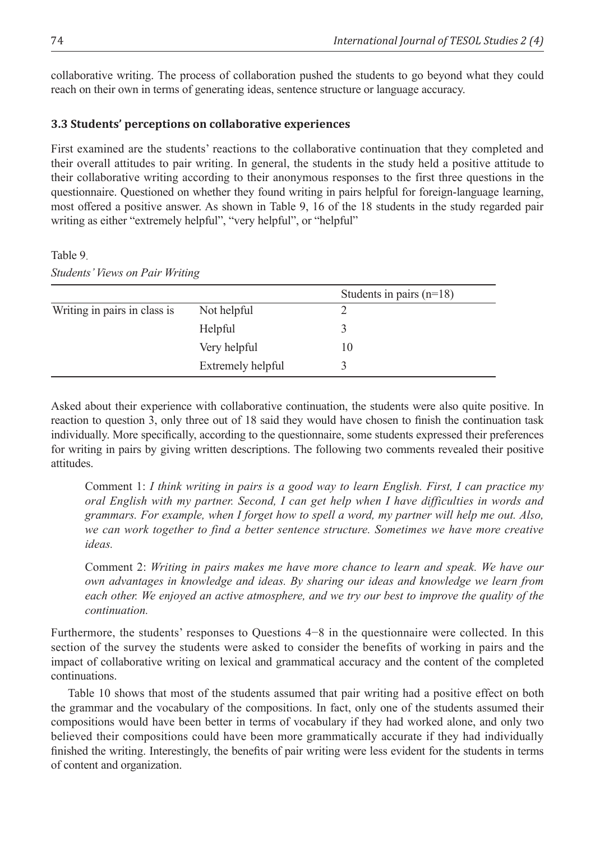collaborative writing. The process of collaboration pushed the students to go beyond what they could reach on their own in terms of generating ideas, sentence structure or language accuracy.

## **3.3 Students' perceptions on collaborative experiences**

First examined are the students' reactions to the collaborative continuation that they completed and their overall attitudes to pair writing. In general, the students in the study held a positive attitude to their collaborative writing according to their anonymous responses to the first three questions in the questionnaire. Questioned on whether they found writing in pairs helpful for foreign-language learning, most offered a positive answer. As shown in Table 9, 16 of the 18 students in the study regarded pair writing as either "extremely helpful", "very helpful", or "helpful"

Table 9.

*Students' Views on Pair Writing*

|                              |                   | Students in pairs $(n=18)$ |
|------------------------------|-------------------|----------------------------|
| Writing in pairs in class is | Not helpful       |                            |
|                              | Helpful           |                            |
|                              | Very helpful      | 10                         |
|                              | Extremely helpful |                            |

Asked about their experience with collaborative continuation, the students were also quite positive. In reaction to question 3, only three out of 18 said they would have chosen to finish the continuation task individually. More specifically, according to the questionnaire, some students expressed their preferences for writing in pairs by giving written descriptions. The following two comments revealed their positive attitudes.

Comment 1: *I think writing in pairs is a good way to learn English. First, I can practice my oral English with my partner. Second, I can get help when I have difficulties in words and grammars. For example, when I forget how to spell a word, my partner will help me out. Also, we can work together to find a better sentence structure. Sometimes we have more creative ideas.* 

Comment 2: *Writing in pairs makes me have more chance to learn and speak. We have our own advantages in knowledge and ideas. By sharing our ideas and knowledge we learn from*  each other. We enjoyed an active atmosphere, and we try our best to improve the quality of the *continuation.*

Furthermore, the students' responses to Questions 4−8 in the questionnaire were collected. In this section of the survey the students were asked to consider the benefits of working in pairs and the impact of collaborative writing on lexical and grammatical accuracy and the content of the completed continuations.

Table 10 shows that most of the students assumed that pair writing had a positive effect on both the grammar and the vocabulary of the compositions. In fact, only one of the students assumed their compositions would have been better in terms of vocabulary if they had worked alone, and only two believed their compositions could have been more grammatically accurate if they had individually finished the writing. Interestingly, the benefits of pair writing were less evident for the students in terms of content and organization.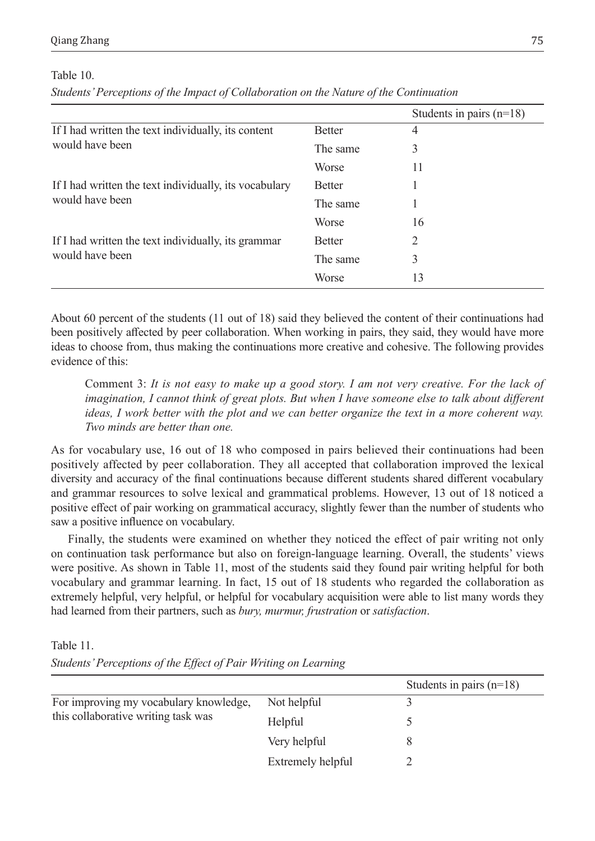#### Table 10.

*Students' Perceptions of the Impact of Collaboration on the Nature of the Continuation*

|                                                        |               | Students in pairs $(n=18)$ |
|--------------------------------------------------------|---------------|----------------------------|
| If I had written the text individually, its content    | <b>Better</b> | 4                          |
| would have been                                        | The same      | 3                          |
|                                                        | Worse         | 11                         |
| If I had written the text individually, its vocabulary | <b>Better</b> |                            |
| would have been                                        | The same      |                            |
|                                                        | Worse         | 16                         |
| If I had written the text individually, its grammar    | <b>Better</b> | 2                          |
| would have been                                        | The same      | 3                          |
|                                                        | Worse         | 13                         |

About 60 percent of the students (11 out of 18) said they believed the content of their continuations had been positively affected by peer collaboration. When working in pairs, they said, they would have more ideas to choose from, thus making the continuations more creative and cohesive. The following provides evidence of this:

Comment 3: *It is not easy to make up a good story. I am not very creative. For the lack of imagination, I cannot think of great plots. But when I have someone else to talk about different ideas, I work better with the plot and we can better organize the text in a more coherent way. Two minds are better than one.* 

As for vocabulary use, 16 out of 18 who composed in pairs believed their continuations had been positively affected by peer collaboration. They all accepted that collaboration improved the lexical diversity and accuracy of the final continuations because different students shared different vocabulary and grammar resources to solve lexical and grammatical problems. However, 13 out of 18 noticed a positive effect of pair working on grammatical accuracy, slightly fewer than the number of students who saw a positive influence on vocabulary.

Finally, the students were examined on whether they noticed the effect of pair writing not only on continuation task performance but also on foreign-language learning. Overall, the students' views were positive. As shown in Table 11, most of the students said they found pair writing helpful for both vocabulary and grammar learning. In fact, 15 out of 18 students who regarded the collaboration as extremely helpful, very helpful, or helpful for vocabulary acquisition were able to list many words they had learned from their partners, such as *bury, murmur, frustration* or *satisfaction*.

Table 11.

*Students' Perceptions of the Effect of Pair Writing on Learning*

|                                                                               |                   | Students in pairs $(n=18)$ |
|-------------------------------------------------------------------------------|-------------------|----------------------------|
| For improving my vocabulary knowledge,<br>this collaborative writing task was | Not helpful       |                            |
|                                                                               | Helpful           |                            |
|                                                                               | Very helpful      |                            |
|                                                                               | Extremely helpful |                            |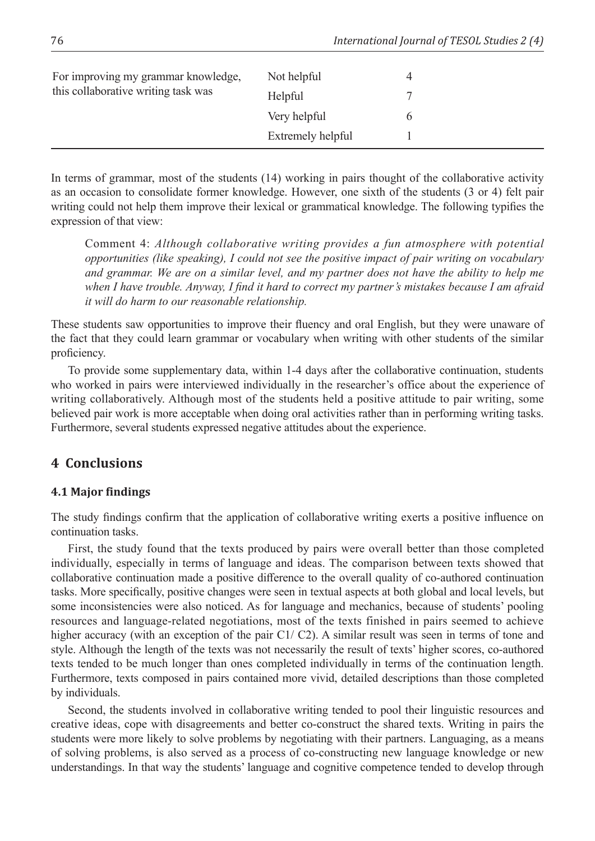| For improving my grammar knowledge,<br>this collaborative writing task was | Not helpful       | 4 |
|----------------------------------------------------------------------------|-------------------|---|
|                                                                            | Helpful           |   |
|                                                                            | Very helpful      |   |
|                                                                            | Extremely helpful |   |

In terms of grammar, most of the students (14) working in pairs thought of the collaborative activity as an occasion to consolidate former knowledge. However, one sixth of the students (3 or 4) felt pair writing could not help them improve their lexical or grammatical knowledge. The following typifies the expression of that view:

Comment 4: *Although collaborative writing provides a fun atmosphere with potential opportunities (like speaking), I could not see the positive impact of pair writing on vocabulary and grammar. We are on a similar level, and my partner does not have the ability to help me when I have trouble. Anyway, I find it hard to correct my partner's mistakes because I am afraid it will do harm to our reasonable relationship.*

These students saw opportunities to improve their fluency and oral English, but they were unaware of the fact that they could learn grammar or vocabulary when writing with other students of the similar proficiency.

To provide some supplementary data, within 1-4 days after the collaborative continuation, students who worked in pairs were interviewed individually in the researcher's office about the experience of writing collaboratively. Although most of the students held a positive attitude to pair writing, some believed pair work is more acceptable when doing oral activities rather than in performing writing tasks. Furthermore, several students expressed negative attitudes about the experience.

# **4 Conclusions**

## **4.1 Major findings**

The study findings confirm that the application of collaborative writing exerts a positive influence on continuation tasks.

First, the study found that the texts produced by pairs were overall better than those completed individually, especially in terms of language and ideas. The comparison between texts showed that collaborative continuation made a positive difference to the overall quality of co-authored continuation tasks. More specifically, positive changes were seen in textual aspects at both global and local levels, but some inconsistencies were also noticed. As for language and mechanics, because of students' pooling resources and language-related negotiations, most of the texts finished in pairs seemed to achieve higher accuracy (with an exception of the pair C1/ C2). A similar result was seen in terms of tone and style. Although the length of the texts was not necessarily the result of texts' higher scores, co-authored texts tended to be much longer than ones completed individually in terms of the continuation length. Furthermore, texts composed in pairs contained more vivid, detailed descriptions than those completed by individuals.

Second, the students involved in collaborative writing tended to pool their linguistic resources and creative ideas, cope with disagreements and better co-construct the shared texts. Writing in pairs the students were more likely to solve problems by negotiating with their partners. Languaging, as a means of solving problems, is also served as a process of co-constructing new language knowledge or new understandings. In that way the students' language and cognitive competence tended to develop through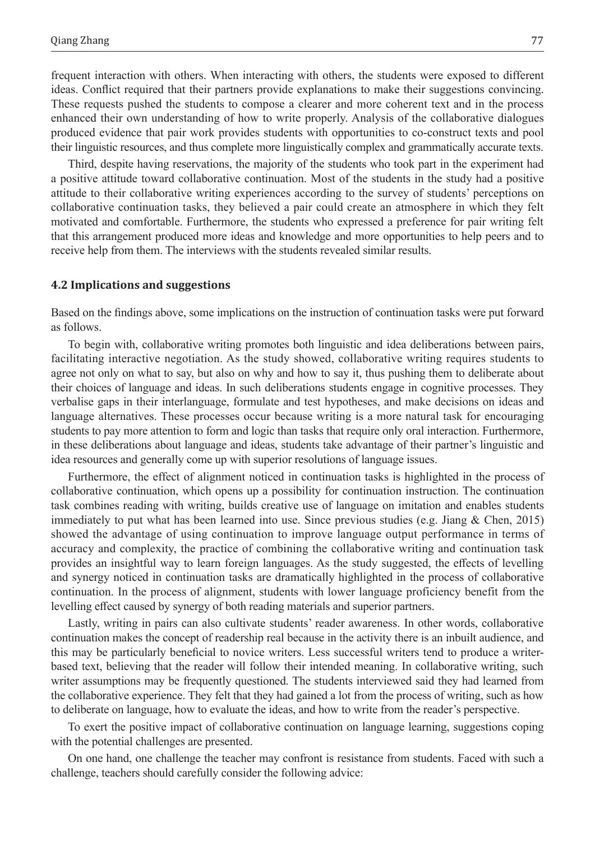frequent interaction with others. When interacting with others, the students were exposed to different ideas. Conflict required that their partners provide explanations to make their suggestions convincing. These requests pushed the students to compose a clearer and more coherent text and in the process enhanced their own understanding of how to write properly. Analysis of the collaborative dialogues produced evidence that pair work provides students with opportunities to co-construct texts and pool their linguistic resources, and thus complete more linguistically complex and grammatically accurate texts.

Third, despite having reservations, the majority of the students who took part in the experiment had a positive attitude toward collaborative continuation. Most of the students in the study had a positive attitude to their collaborative writing experiences according to the survey of students' perceptions on collaborative continuation tasks, they believed a pair could create an atmosphere in which they felt motivated and comfortable. Furthermore, the students who expressed a preference for pair writing felt that this arrangement produced more ideas and knowledge and more opportunities to help peers and to receive help from them. The interviews with the students revealed similar results.

#### **4.2 Implications and suggestions**

Based on the findings above, some implications on the instruction of continuation tasks were put forward as follows.

To begin with, collaborative writing promotes both linguistic and idea deliberations between pairs, facilitating interactive negotiation. As the study showed, collaborative writing requires students to agree not only on what to say, but also on why and how to say it, thus pushing them to deliberate about their choices of language and ideas. In such deliberations students engage in cognitive processes. They verbalise gaps in their interlanguage, formulate and test hypotheses, and make decisions on ideas and language alternatives. These processes occur because writing is a more natural task for encouraging students to pay more attention to form and logic than tasks that require only oral interaction. Furthermore, in these deliberations about language and ideas, students take advantage of their partner's linguistic and idea resources and generally come up with superior resolutions of language issues.

Furthermore, the effect of alignment noticed in continuation tasks is highlighted in the process of collaborative continuation, which opens up a possibility for continuation instruction. The continuation task combines reading with writing, builds creative use of language on imitation and enables students immediately to put what has been learned into use. Since previous studies (e.g. Jiang & Chen, 2015) showed the advantage of using continuation to improve language output performance in terms of accuracy and complexity, the practice of combining the collaborative writing and continuation task provides an insightful way to learn foreign languages. As the study suggested, the effects of levelling and synergy noticed in continuation tasks are dramatically highlighted in the process of collaborative continuation. In the process of alignment, students with lower language proficiency benefit from the levelling effect caused by synergy of both reading materials and superior partners.

Lastly, writing in pairs can also cultivate students' reader awareness. In other words, collaborative continuation makes the concept of readership real because in the activity there is an inbuilt audience, and this may be particularly beneficial to novice writers. Less successful writers tend to produce a writerbased text, believing that the reader will follow their intended meaning. In collaborative writing, such writer assumptions may be frequently questioned. The students interviewed said they had learned from the collaborative experience. They felt that they had gained a lot from the process of writing, such as how to deliberate on language, how to evaluate the ideas, and how to write from the reader's perspective.

To exert the positive impact of collaborative continuation on language learning, suggestions coping with the potential challenges are presented.

On one hand, one challenge the teacher may confront is resistance from students. Faced with such a challenge, teachers should carefully consider the following advice: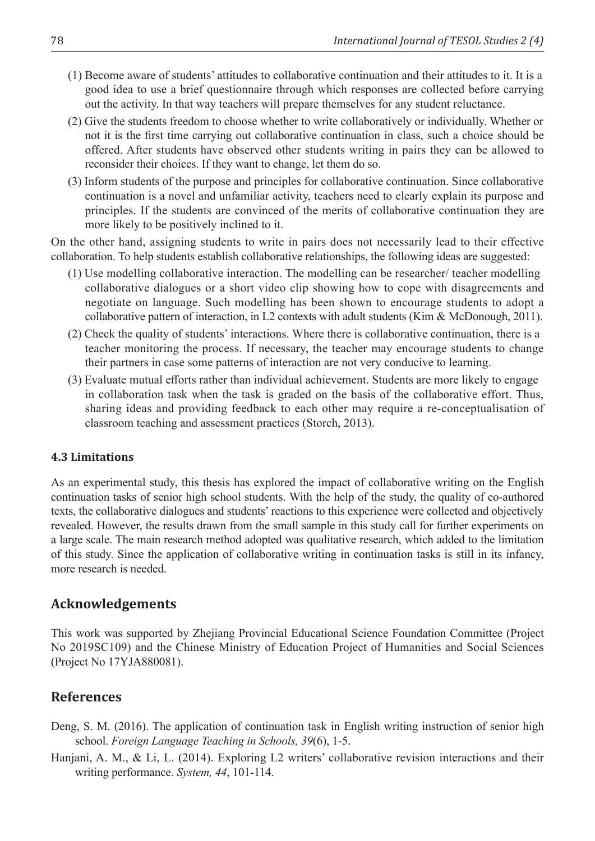- (1) Become aware of students' attitudes to collaborative continuation and their attitudes to it. It is a good idea to use a brief questionnaire through which responses are collected before carrying out the activity. In that way teachers will prepare themselves for any student reluctance.
- (2) Give the students freedom to choose whether to write collaboratively or individually. Whether or not it is the first time carrying out collaborative continuation in class, such a choice should be offered. After students have observed other students writing in pairs they can be allowed to reconsider their choices. If they want to change, let them do so.
- (3) Inform students of the purpose and principles for collaborative continuation. Since collaborative continuation is a novel and unfamiliar activity, teachers need to clearly explain its purpose and principles. If the students are convinced of the merits of collaborative continuation they are more likely to be positively inclined to it.

On the other hand, assigning students to write in pairs does not necessarily lead to their effective collaboration. To help students establish collaborative relationships, the following ideas are suggested:

- (1) Use modelling collaborative interaction. The modelling can be researcher/ teacher modelling collaborative dialogues or a short video clip showing how to cope with disagreements and negotiate on language. Such modelling has been shown to encourage students to adopt a collaborative pattern of interaction, in L2 contexts with adult students (Kim & McDonough, 2011).
- (2) Check the quality of students' interactions. Where there is collaborative continuation, there is a teacher monitoring the process. If necessary, the teacher may encourage students to change their partners in case some patterns of interaction are not very conducive to learning.
- (3) Evaluate mutual efforts rather than individual achievement. Students are more likely to engage in collaboration task when the task is graded on the basis of the collaborative effort. Thus, sharing ideas and providing feedback to each other may require a re-conceptualisation of classroom teaching and assessment practices (Storch, 2013).

### **4.3 Limitations**

As an experimental study, this thesis has explored the impact of collaborative writing on the English continuation tasks of senior high school students. With the help of the study, the quality of co-authored texts, the collaborative dialogues and students' reactions to this experience were collected and objectively revealed. However, the results drawn from the small sample in this study call for further experiments on a large scale. The main research method adopted was qualitative research, which added to the limitation of this study. Since the application of collaborative writing in continuation tasks is still in its infancy, more research is needed.

## **Acknowledgements**

This work was supported by Zhejiang Provincial Educational Science Foundation Committee (Project No 2019SC109) and the Chinese Ministry of Education Project of Humanities and Social Sciences (Project No 17YJA880081).

## **References**

- Deng, S. M. (2016). The application of continuation task in English writing instruction of senior high school. *Foreign Language Teaching in Schools, 39*(6), 1-5.
- Hanjani, A. M., & Li, L. (2014). Exploring L2 writers' collaborative revision interactions and their writing performance. *System, 44*, 101-114.